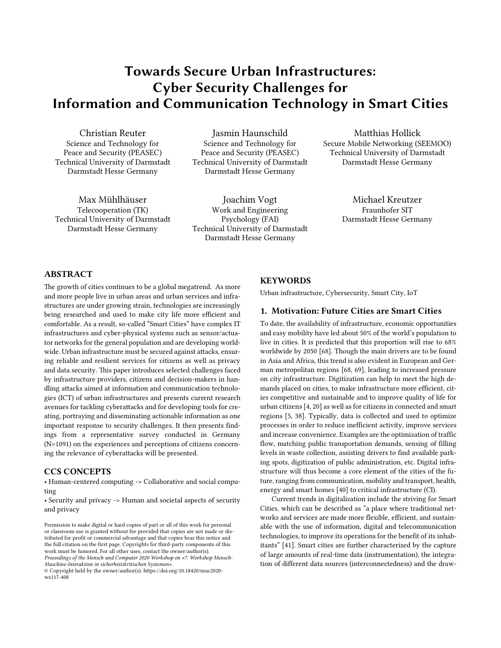# **Towards Secure Urban Infrastructures: Cyber Security Challenges for Information and Communication Technology in Smart Cities**

Christian Reuter Science and Technology for Peace and Security (PEASEC) Technical University of Darmstadt Darmstadt Hesse Germany

Jasmin Haunschild Science and Technology for Peace and Security (PEASEC) Technical University of Darmstadt Darmstadt Hesse Germany

Max Mühlhäuser Telecooperation (TK) Technical University of Darmstadt Darmstadt Hesse Germany

Joachim Vogt Work and Engineering Psychology (FAI) Technical University of Darmstadt Darmstadt Hesse Germany

Matthias Hollick Secure Mobile Networking (SEEMOO) Technical University of Darmstadt Darmstadt Hesse Germany

> Michael Kreutzer Fraunhofer SIT Darmstadt Hesse Germany

# **ABSTRACT**

The growth of cities continues to be a global megatrend. As more and more people live in urban areas and urban services and infrastructures are under growing strain, technologies are increasingly being researched and used to make city life more efficient and comfortable. As a result, so-called "Smart Cities" have complex IT infrastructures and cyber-physical systems such as sensor/actuator networks for the general population and are developing worldwide. Urban infrastructure must be secured against attacks, ensuring reliable and resilient services for citizens as well as privacy and data security. This paper introduces selected challenges faced by infrastructure providers, citizens and decision-makers in handling attacks aimed at information and communication technologies (ICT) of urban infrastructures and presents current research avenues for tackling cyberattacks and for developing tools for creating, portraying and disseminating actionable information as one important response to security challenges. It then presents findings from a representative survey conducted in Germany (N=1091) on the experiences and perceptions of citizens concerning the relevance of cyberattacks will be presented.

## **CCS CONCEPTS**

• Human-centered computing -> Collaborative and social computing

• Security and privacy -> Human and societal aspects of security and privacy

#### **KEYWORDS**

Urban infrastructure, Cybersecurity, Smart City, IoT

#### **1. Motivation: Future Cities are Smart Cities**

To date, the availability of infrastructure, economic opportunities and easy mobility have led about 50% of the world's population to live in cities. It is predicted that this proportion will rise to 68% worldwide by 2050 [68]. Though the main drivers are to be found in Asia and Africa, this trend is also evident in European and German metropolitan regions [68, 69], leading to increased pressure on city infrastructure. Digitization can help to meet the high demands placed on cities, to make infrastructure more efficient, cities competitive and sustainable and to improve quality of life for urban citizens [4, 20] as well as for citizens in connected and smart regions [5, 38]. Typically, data is collected and used to optimize processes in order to reduce inefficient activity, improve services and increase convenience. Examples are the optimization of traffic flow, matching public transportation demands, sensing of filling levels in waste collection, assisting drivers to find available parking spots, digitization of public administration, etc. Digital infrastructure will thus become a core element of the cities of the future, ranging from communication, mobility and transport, health, energy and smart homes [40] to critical infrastructure (CI).

Current trends in digitalization include the striving for Smart Cities, which can be described as "a place where traditional networks and services are made more flexible, efficient, and sustainable with the use of information, digital and telecommunication technologies, to improve its operations for the benefit of its inhabitants" [41]. Smart cities are further characterized by the capture of large amounts of real-time data (instrumentation), the integration of different data sources (interconnectedness) and the draw-

Permission to make digital or hard copies of part or all of this work for personal or classroom use is granted without fee provided that copies are not made or distributed for profit or commercial advantage and that copies bear this notice and the full citation on the first page. Copyrights for third-party components of this work must be honored. For all other uses, contact the owner/author(s). *Proceedings of the Mensch und Computer 2020 Workshop on «7. Workshop Mensch-Maschine-Interaktion in sicherheitskritischen Systemen».*

<sup>©</sup> Copyright held by the owner/author(s). [https://doi.org/10.18420/muc2020](https://doi.org/10.18420/muc2020-ws117-408) [ws117-408](https://doi.org/10.18420/muc2020-ws117-408)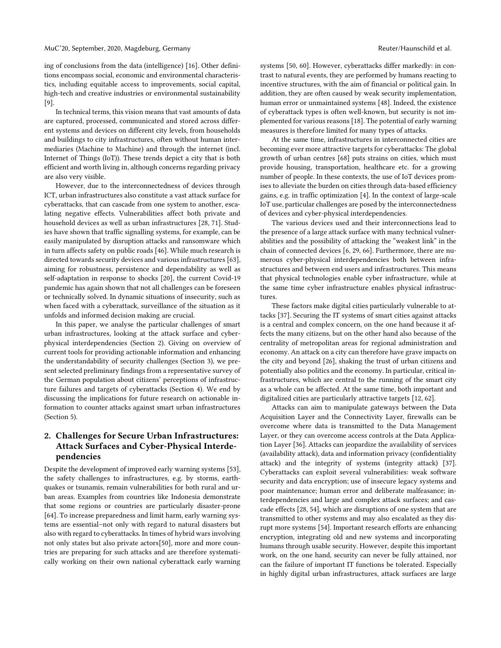ing of conclusions from the data (intelligence) [16]. Other definitions encompass social, economic and environmental characteristics, including equitable access to improvements, social capital, high-tech and creative industries or environmental sustainability [9].

In technical terms, this vision means that vast amounts of data are captured, processed, communicated and stored across different systems and devices on different city levels, from households and buildings to city infrastructures, often without human intermediaries (Machine to Machine) and through the internet (incl. Internet of Things (IoT)). These trends depict a city that is both efficient and worth living in, although concerns regarding privacy are also very visible.

However, due to the interconnectedness of devices through ICT, urban infrastructures also constitute a vast attack surface for cyberattacks, that can cascade from one system to another, escalating negative effects. Vulnerabilities affect both private and household devices as well as urban infrastructures [28, 71]. Studies have shown that traffic signalling systems, for example, can be easily manipulated by disruption attacks and ransomware which in turn affects safety on public roads [46]. While much research is directed towards security devices and various infrastructures [63], aiming for robustness, persistence and dependability as well as self-adaptation in response to shocks [20], the current Covid-19 pandemic has again shown that not all challenges can be foreseen or technically solved. In dynamic situations of insecurity, such as when faced with a cyberattack, surveillance of the situation as it unfolds and informed decision making are crucial.

In this paper, we analyse the particular challenges of smart urban infrastructures, looking at the attack surface and cyberphysical interdependencies (Section 2). Giving on overview of current tools for providing actionable information and enhancing the understandability of security challenges (Section 3), we present selected preliminary findings from a representative survey of the German population about citizens' perceptions of infrastructure failures and targets of cyberattacks (Section 4). We end by discussing the implications for future research on actionable information to counter attacks against smart urban infrastructures (Section 5).

# **2. Challenges for Secure Urban Infrastructures: Attack Surfaces and Cyber-Physical Interdependencies**

Despite the development of improved early warning systems [53], the safety challenges to infrastructures, e.g. by storms, earthquakes or tsunamis, remain vulnerabilities for both rural and urban areas. Examples from countries like Indonesia demonstrate that some regions or countries are particularly disaster-prone [64]. To increase preparedness and limit harm, early warning systems are essential–not only with regard to natural disasters but also with regard to cyberattacks. In times of hybrid wars involving not only states but also private actors[50], more and more countries are preparing for such attacks and are therefore systematically working on their own national cyberattack early warning systems [50, 60]. However, cyberattacks differ markedly: in contrast to natural events, they are performed by humans reacting to incentive structures, with the aim of financial or political gain. In addition, they are often caused by weak security implementation, human error or unmaintained systems [48]. Indeed, the existence of cyberattack types is often well-known, but security is not implemented for various reasons [18]. The potential of early warning measures is therefore limited for many types of attacks.

At the same time, infrastructures in interconnected cities are becoming ever more attractive targets for cyberattacks: The global growth of urban centres [68] puts strains on cities, which must provide housing, transportation, healthcare etc. for a growing number of people. In these contexts, the use of IoT devices promises to alleviate the burden on cities through data-based efficiency gains, e.g. in traffic optimization [4]. In the context of large-scale IoT use, particular challenges are posed by the interconnectedness of devices and cyber-physical interdependencies.

The various devices used and their interconnections lead to the presence of a large attack surface with many technical vulnerabilities and the possibility of attacking the "weakest link" in the chain of connected devices [6, 29, 66]. Furthermore, there are numerous cyber-physical interdependencies both between infrastructures and between end users and infrastructures. This means that physical technologies enable cyber infrastructure, while at the same time cyber infrastructure enables physical infrastructures.

These factors make digital cities particularly vulnerable to attacks [37]. Securing the IT systems of smart cities against attacks is a central and complex concern, on the one hand because it affects the many citizens, but on the other hand also because of the centrality of metropolitan areas for regional administration and economy. An attack on a city can therefore have grave impacts on the city and beyond [26], shaking the trust of urban citizens and potentially also politics and the economy. In particular, critical infrastructures, which are central to the running of the smart city as a whole can be affected. At the same time, both important and digitalized cities are particularly attractive targets [12, 62].

Attacks can aim to manipulate gateways between the Data Acquisition Layer and the Connectivity Layer, firewalls can be overcome where data is transmitted to the Data Management Layer, or they can overcome access controls at the Data Application Layer [36]. Attacks can jeopardize the availability of services (availability attack), data and information privacy (confidentiality attack) and the integrity of systems (integrity attack) [37]. Cyberattacks can exploit several vulnerabilities: weak software security and data encryption; use of insecure legacy systems and poor maintenance; human error and deliberate malfeasance; interdependencies and large and complex attack surfaces; and cascade effects [28, 54], which are disruptions of one system that are transmitted to other systems and may also escalated as they disrupt more systems [54]. Important research efforts are enhancing encryption, integrating old and new systems and incorporating humans through usable security. However, despite this important work, on the one hand, security can never be fully attained, nor can the failure of important IT functions be tolerated. Especially in highly digital urban infrastructures, attack surfaces are large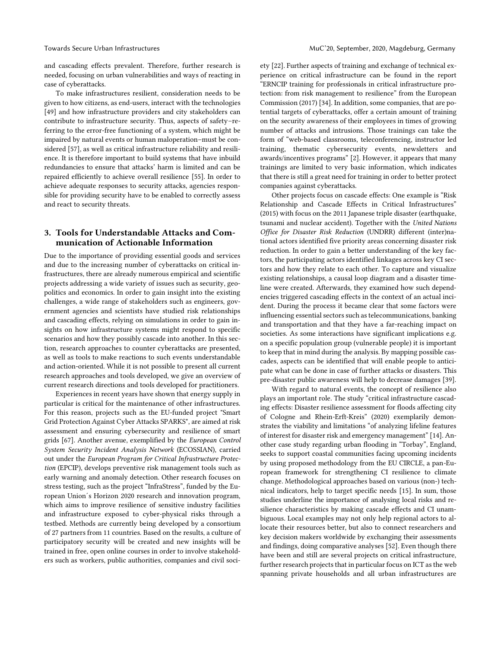and cascading effects prevalent. Therefore, further research is needed, focusing on urban vulnerabilities and ways of reacting in case of cyberattacks.

To make infrastructures resilient, consideration needs to be given to how citizens, as end-users, interact with the technologies [49] and how infrastructure providers and city stakeholders can contribute to infrastructure security. Thus, aspects of safety–referring to the error-free functioning of a system, which might be impaired by natural events or human maloperation–must be considered [57], as well as critical infrastructure reliability and resilience. It is therefore important to build systems that have inbuild redundancies to ensure that attacks' harm is limited and can be repaired efficiently to achieve overall resilience [55]. In order to achieve adequate responses to security attacks, agencies responsible for providing security have to be enabled to correctly assess and react to security threats.

# **3. Tools for Understandable Attacks and Communication of Actionable Information**

Due to the importance of providing essential goods and services and due to the increasing number of cyberattacks on critical infrastructures, there are already numerous empirical and scientific projects addressing a wide variety of issues such as security, geopolitics and economics. In order to gain insight into the existing challenges, a wide range of stakeholders such as engineers, government agencies and scientists have studied risk relationships and cascading effects, relying on simulations in order to gain insights on how infrastructure systems might respond to specific scenarios and how they possibly cascade into another. In this section, research approaches to counter cyberattacks are presented, as well as tools to make reactions to such events understandable and action-oriented. While it is not possible to present all current research approaches and tools developed, we give an overview of current research directions and tools developed for practitioners.

Experiences in recent years have shown that energy supply in particular is critical for the maintenance of other infrastructures. For this reason, projects such as the EU-funded project "Smart Grid Protection Against Cyber Attacks SPARKS", are aimed at risk assessment and ensuring cybersecurity and resilience of smart grids [67]. Another avenue, exemplified by the *European Control System Security Incident Analysis Network* (ECOSSIAN), carried out under the *European Program for Critical Infrastructure Protection* (EPCIP), develops preventive risk management tools such as early warning and anomaly detection. Other research focuses on stress testing, such as the project "InfraStress", funded by the European Union´s Horizon 2020 research and innovation program, which aims to improve resilience of sensitive industry facilities and infrastructure exposed to cyber-physical risks through a testbed. Methods are currently being developed by a consortium of 27 partners from 11 countries. Based on the results, a culture of participatory security will be created and new insights will be trained in free, open online courses in order to involve stakeholders such as workers, public authorities, companies and civil society [22]. Further aspects of training and exchange of technical experience on critical infrastructure can be found in the report "ERNCIP training for professionals in critical infrastructure protection: from risk management to resilience" from the European Commission (2017) [34]. In addition, some companies, that are potential targets of cyberattacks, offer a certain amount of training on the security awareness of their employees in times of growing number of attacks and intrusions. Those trainings can take the form of "web-based classrooms, teleconferencing, instructor led training, thematic cybersecurity events, newsletters and awards/incentives programs" [2]. However, it appears that many trainings are limited to very basic information, which indicates that there is still a great need for training in order to better protect companies against cyberattacks.

Other projects focus on cascade effects: One example is "Risk Relationship and Cascade Effects in Critical Infrastructures" (2015) with focus on the 2011 Japanese triple disaster (earthquake, tsunami and nuclear accident). Together with the *United Nations Office for Disaster Risk Reduction* (UNDRR) different (inter)national actors identified five priority areas concerning disaster risk reduction. In order to gain a better understanding of the key factors, the participating actors identified linkages across key CI sectors and how they relate to each other. To capture and visualize existing relationships, a causal loop diagram and a disaster timeline were created. Afterwards, they examined how such dependencies triggered cascading effects in the context of an actual incident. During the process it became clear that some factors were influencing essential sectors such as telecommunications, banking and transportation and that they have a far-reaching impact on societies. As some interactions have significant implications e.g. on a specific population group (vulnerable people) it is important to keep that in mind during the analysis. By mapping possible cascades, aspects can be identified that will enable people to anticipate what can be done in case of further attacks or disasters. This pre-disaster public awareness will help to decrease damages [39].

With regard to natural events, the concept of resilience also plays an important role. The study "critical infrastructure cascading effects: Disaster resilience assessment for floods affecting city of Cologne and Rhein-Erft-Kreis" (2020) exemplarily demonstrates the viability and limitations "of analyzing lifeline features of interest for disaster risk and emergency management" [14]. Another case study regarding urban flooding in "Torbay", England, seeks to support coastal communities facing upcoming incidents by using proposed methodology from the EU CIRCLE, a pan-European framework for strengthening CI resilience to climate change. Methodological approaches based on various (non-) technical indicators, help to target specific needs [15]. In sum, those studies underline the importance of analysing local risks and resilience characteristics by making cascade effects and CI unambiguous. Local examples may not only help regional actors to allocate their resources better, but also to connect researchers and key decision makers worldwide by exchanging their assessments and findings, doing comparative analyses [52]. Even though there have been and still are several projects on critical infrastructure, further research projects that in particular focus on ICT as the web spanning private households and all urban infrastructures are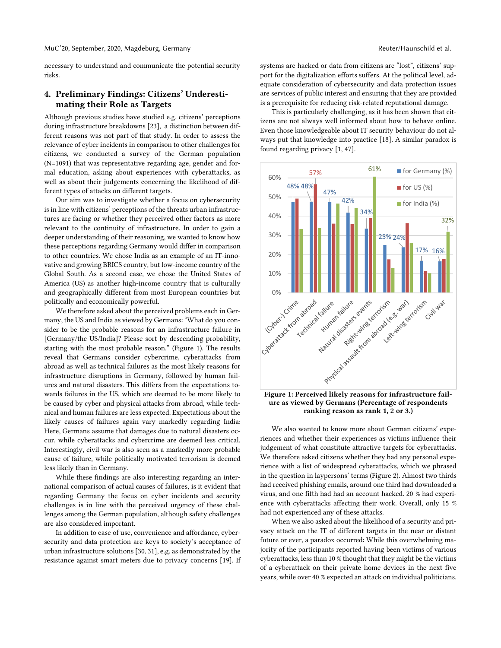necessary to understand and communicate the potential security risks.

# **4. Preliminary Findings: Citizens' Underestimating their Role as Targets**

Although previous studies have studied e.g. citizens' perceptions during infrastructure breakdowns [23], a distinction between different reasons was not part of that study. In order to assess the relevance of cyber incidents in comparison to other challenges for citizens, we conducted a survey of the German population (N=1091) that was representative regarding age, gender and formal education, asking about experiences with cyberattacks, as well as about their judgements concerning the likelihood of different types of attacks on different targets.

Our aim was to investigate whether a focus on cybersecurity is in line with citizens' perceptions of the threats urban infrastructures are facing or whether they perceived other factors as more relevant to the continuity of infrastructure. In order to gain a deeper understanding of their reasoning, we wanted to know how these perceptions regarding Germany would differ in comparison to other countries. We chose India as an example of an IT-innovative and growing BRICS country, but low-income country of the Global South. As a second case, we chose the United States of America (US) as another high-income country that is culturally and geographically different from most European countries but politically and economically powerful.

We therefore asked about the perceived problems each in Germany, the US and India as viewed by Germans: "What do you consider to be the probable reasons for an infrastructure failure in [Germany/the US/India]? Please sort by descending probability, starting with the most probable reason." (Figure 1). The results reveal that Germans consider cybercrime, cyberattacks from abroad as well as technical failures as the most likely reasons for infrastructure disruptions in Germany, followed by human failures and natural disasters. This differs from the expectations towards failures in the US, which are deemed to be more likely to be caused by cyber and physical attacks from abroad, while technical and human failures are less expected. Expectations about the likely causes of failures again vary markedly regarding India: Here, Germans assume that damages due to natural disasters occur, while cyberattacks and cybercrime are deemed less critical. Interestingly, civil war is also seen as a markedly more probable cause of failure, while politically motivated terrorism is deemed less likely than in Germany.

While these findings are also interesting regarding an international comparison of actual causes of failures, is it evident that regarding Germany the focus on cyber incidents and security challenges is in line with the perceived urgency of these challenges among the German population, although safety challenges are also considered important.

In addition to ease of use, convenience and affordance, cybersecurity and data protection are keys to society's acceptance of urban infrastructure solutions [30, 31], e.g. as demonstrated by the resistance against smart meters due to privacy concerns [19]. If systems are hacked or data from citizens are "lost", citizens' support for the digitalization efforts suffers. At the political level, adequate consideration of cybersecurity and data protection issues are services of public interest and ensuring that they are provided is a prerequisite for reducing risk-related reputational damage.

This is particularly challenging, as it has been shown that citizens are not always well informed about how to behave online. Even those knowledgeable about IT security behaviour do not always put that knowledge into practice [18]. A similar paradox is found regarding privacy [1, 47].



**ure as viewed by Germans (Percentage of respondents ranking reason as rank 1, 2 or 3.)**

We also wanted to know more about German citizens' experiences and whether their experiences as victims influence their judgement of what constitute attractive targets for cyberattacks. We therefore asked citizens whether they had any personal experience with a list of widespread cyberattacks, which we phrased in the question in laypersons' terms (Figure 2). Almost two thirds had received phishing emails, around one third had downloaded a virus, and one fifth had had an account hacked. 20 % had experience with cyberattacks affecting their work. Overall, only 15 % had not experienced any of these attacks.

When we also asked about the likelihood of a security and privacy attack on the IT of different targets in the near or distant future or ever, a paradox occurred: While this overwhelming majority of the participants reported having been victims of various cyberattacks, less than 10 % thought that they might be the victims of a cyberattack on their private home devices in the next five years, while over 40 % expected an attack on individual politicians.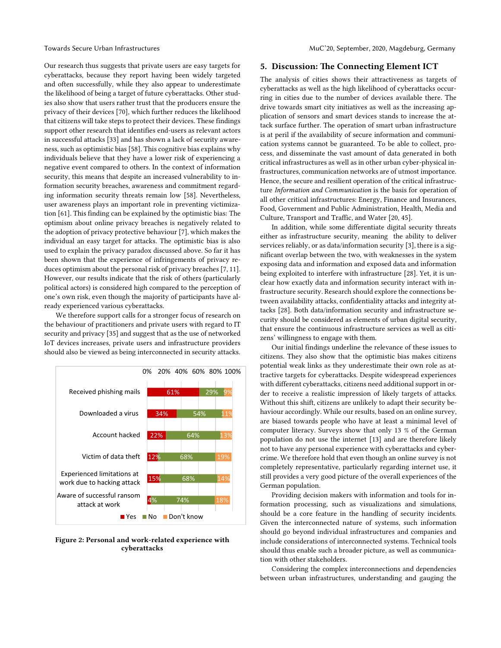Our research thus suggests that private users are easy targets for cyberattacks, because they report having been widely targeted and often successfully, while they also appear to underestimate the likelihood of being a target of future cyberattacks. Other studies also show that users rather trust that the producers ensure the privacy of their devices [70], which further reduces the likelihood that citizens will take steps to protect their devices. These findings support other research that identifies end-users as relevant actors in successful attacks [33] and has shown a lack of security awareness, such as optimistic bias [58]. This cognitive bias explains why individuals believe that they have a lower risk of experiencing a negative event compared to others. In the context of information security, this means that despite an increased vulnerability to information security breaches, awareness and commitment regarding information security threats remain low [58]. Nevertheless, user awareness plays an important role in preventing victimization [61]. This finding can be explained by the optimistic bias: The optimism about online privacy breaches is negatively related to the adoption of privacy protective behaviour [7], which makes the individual an easy target for attacks. The optimistic bias is also used to explain the privacy paradox discussed above. So far it has been shown that the experience of infringements of privacy reduces optimism about the personal risk of privacy breaches [7, 11]. However, our results indicate that the risk of others (particularly political actors) is considered high compared to the perception of one's own risk, even though the majority of participants have already experienced various cyberattacks.

We therefore support calls for a stronger focus of research on the behaviour of practitioners and private users with regard to IT security and privacy [35] and suggest that as the use of networked IoT devices increases, private users and infrastructure providers should also be viewed as being interconnected in security attacks.



**Figure 2: Personal and work-related experience with cyberattacks**

### **5. Discussion: The Connecting Element ICT**

The analysis of cities shows their attractiveness as targets of cyberattacks as well as the high likelihood of cyberattacks occurring in cities due to the number of devices available there. The drive towards smart city initiatives as well as the increasing application of sensors and smart devices stands to increase the attack surface further. The operation of smart urban infrastructure is at peril if the availability of secure information and communication systems cannot be guaranteed. To be able to collect, process, and disseminate the vast amount of data generated in both critical infrastructures as well as in other urban cyber-physical infrastructures, communication networks are of utmost importance. Hence, the secure and resilient operation of the critical infrastructure *Information and Communication* is the basis for operation of all other critical infrastructures: Energy, Finance and Insurances, Food, Government and Public Administration, Health, Media and Culture, Transport and Traffic, and Water [20, 45].

In addition, while some differentiate digital security threats either as infrastructure security, meaning the ability to deliver services reliably, or as data/information security [3], there is a significant overlap between the two, with weaknesses in the system exposing data and information and exposed data and information being exploited to interfere with infrastructure [28]. Yet, it is unclear how exactly data and information security interact with infrastructure security. Research should explore the connections between availability attacks, confidentiality attacks and integrity attacks [28]. Both data/information security and infrastructure security should be considered as elements of urban digital security, that ensure the continuous infrastructure services as well as citizens' willingness to engage with them.

Our initial findings underline the relevance of these issues to citizens. They also show that the optimistic bias makes citizens potential weak links as they underestimate their own role as attractive targets for cyberattacks. Despite widespread experiences with different cyberattacks, citizens need additional support in order to receive a realistic impression of likely targets of attacks. Without this shift, citizens are unlikely to adapt their security behaviour accordingly. While our results, based on an online survey, are biased towards people who have at least a minimal level of computer literacy. Surveys show that only 13 % of the German population do not use the internet [13] and are therefore likely not to have any personal experience with cyberattacks and cybercrime. We therefore hold that even though an online survey is not completely representative, particularly regarding internet use, it still provides a very good picture of the overall experiences of the German population.

Providing decision makers with information and tools for information processing, such as visualizations and simulations, should be a core feature in the handling of security incidents. Given the interconnected nature of systems, such information should go beyond individual infrastructures and companies and include considerations of interconnected systems. Technical tools should thus enable such a broader picture, as well as communication with other stakeholders.

Considering the complex interconnections and dependencies between urban infrastructures, understanding and gauging the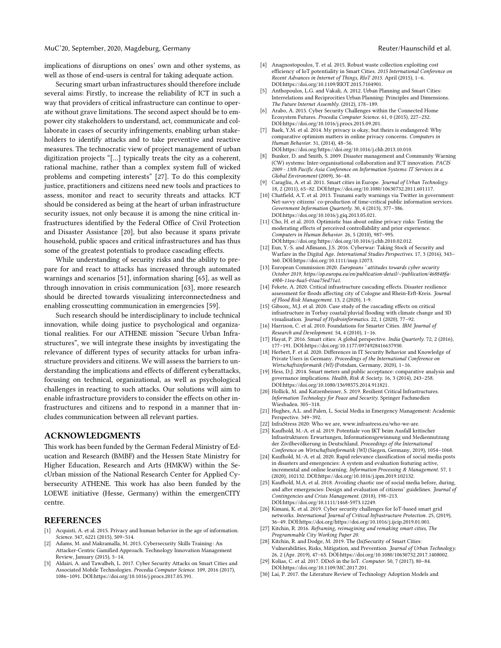#### MuC'20, September, 2020, Magdeburg, Germany Reuter/Haunschild et al.

implications of disruptions on ones' own and other systems, as well as those of end-users is central for taking adequate action.

Securing smart urban infrastructures should therefore include several aims: Firstly, to increase the reliability of ICT in such a way that providers of critical infrastructure can continue to operate without grave limitations. The second aspect should be to empower city stakeholders to understand, act, communicate and collaborate in cases of security infringements, enabling urban stakeholders to identify attacks and to take preventive and reactive measures. The technocratic view of project management of urban digitization projects "[…] typically treats the city as a coherent, rational machine, rather than a complex system full of wicked problems and competing interests" [27]. To do this complexity justice, practitioners and citizens need new tools and practices to assess, monitor and react to security threats and attacks. ICT should be considered as being at the heart of urban infrastructure security issues, not only because it is among the nine critical infrastructures identified by the Federal Office of Civil Protection and Disaster Assistance [20], but also because it spans private household, public spaces and critical infrastructures and has thus some of the greatest potentials to produce cascading effects.

While understanding of security risks and the ability to prepare for and react to attacks has increased through automated warnings and scenarios [51], information sharing [65], as well as through innovation in crisis communication [63], more research should be directed towards visualizing interconnectedness and enabling crosscutting communication in emergencies [59].

Such research should be interdisciplinary to include technical innovation, while doing justice to psychological and organizational realities. For our ATHENE mission "Secure Urban Infrastructures", we will integrate these insights by investigating the relevance of different types of security attacks for urban infrastructure providers and citizens. We will assess the barriers to understanding the implications and effects of different cyberattacks, focusing on technical, organizational, as well as psychological challenges in reacting to such attacks. Our solutions will aim to enable infrastructure providers to consider the effects on other infrastructures and citizens and to respond in a manner that includes communication between all relevant parties.

#### **ACKNOWLEDGMENTS**

This work has been funded by the German Federal Ministry of Education and Research (BMBF) and the Hessen State Ministry for Higher Education, Research and Arts (HMKW) within the SecUrban mission of the National Research Center for Applied Cybersecurity ATHENE. This work has also been funded by the LOEWE initiative (Hesse, Germany) within the emergenCITY centre.

#### **REFERENCES**

- [1] Acquisti, A. et al. 2015. Privacy and human behavior in the age of information. *Science*. 347, 6221 (2015), 509–514.
- Adams, M. and Makramalla, M. 2015. Cybersecurity Skills Training: An Attacker-Centric Gamified Approach. Technology Innovation Management Review, January (2015), 5–14.
- [3] Aldairi, A. and Tawalbeh, L. 2017. Cyber Security Attacks on Smart Cities and Associated Mobile Technologies. *Procedia Computer Science*. 109, 2016 (2017), 1086–1091. DOI:https://doi.org/10.1016/j.procs.2017.05.391.
- [4] Anagnostopoulos, T. et al. 2015. Robust waste collection exploiting cost efficiency of IoT potentiality in Smart Cities. *2015 International Conference on Recent Advances in Internet of Things, RIoT 2015*. April (2015), 1–6. DOI:https://doi.org/10.1109/RIOT.2015.7104901.
- [5] Anthopoulos, L.G. and Vakali, A. 2012. Urban Planning and Smart Cities: Interrelations and Reciprocities Urban Planning: Principles and Dimensions. *The Future Internet Assembly*. (2012), 178–189.
- [6] Arabo, A. 2015. Cyber Security Challenges within the Connected Home Ecosystem Futures. *Procedia Computer Science*. 61, 0 (2015), 227–232. DOI:https://doi.org/10.1016/j.procs.2015.09.201.
- [7] Baek, Y.M. et al. 2014. My privacy is okay, but theirs is endangered: Why comparative optimism matters in online privacy concerns. *Computers in Human Behavior*. 31, (2014), 48–56. DOI:https://doi.org/https://doi.org/10.1016/j.chb.2013.10.010.
- [8] Bunker, D. and Smith, S. 2009. Disaster management and Community Warning (CW) systems: Inter-organisational collaboration and ICT innovation. *PACIS 2009 - 13th Pacific Asia Conference on Information Systems: IT Services in a Global Environment* (2009), 36–48.
- [9] Caragliu, A. et al. 2011. Smart cities in Europe. *Journal of Urban Technology*. 18, 2 (2011), 65–82. DOI:https://doi.org/10.1080/10630732.2011.601117.
- [10] Chatfield, A.T. et al. 2013. Tsunami early warnings via Twitter in government: Net-savvy citizens' co-production of time-critical public information services. *Government Information Quarterly*. 30, 4 (2013), 377–386. DOI:https://doi.org/10.1016/j.giq.2013.05.021.
- [11] Cho, H. et al. 2010. Optimistic bias about online privacy risks: Testing the moderating effects of perceived controllability and prior experience. *Computers in Human Behavior*. 26, 5 (2010), 987–995. DOI:https://doi.org/https://doi.org/10.1016/j.chb.2010.02.012.
- [12] Eun, Y.-S. and Aßmann, J.S. 2016. Cyberwar: Taking Stock of Security and Warfare in the Digital Age. *International Studies Perspectives*. 17, 3 (2016), 343– 360. DOI:https://doi.org/10.1111/insp.12073.
- [13] European Commission 2020. *Europeans ' attitudes towards cyber security October 2019, https://op.europa.eu/en/publication-detail/-/publication/468848fa-49bb-11ea-8aa5-01aa75ed71a1*.
- [14] Fekete, A. 2020. Critical infrastructure cascading effects. Disaster resilience assessment for floods affecting city of Cologne and Rhein‐Erft‐Kreis. *Journal of Flood Risk Management*. 13, 2 (2020), 1-9.
- [15] Gibson;, M.J. et al. 2020. Case study of the cascading effects on critical infrastructure in Torbay coastal/pluvial flooding with climate change and 3D visualisation. *Journal of Hydroinformatics*. 22, 1 (2020), 77–92.
- [16] Harrison, C. et al. 2010. Foundations for Smarter Cities. *IBM Journal of Research and Development*. 54, 4 (2010), 1–16.
- [17] Hayat, P. 2016. Smart cities: A global perspective. *India Quarterly*. 72, 2 (2016), 177–191. DOI:https://doi.org/10.1177/0974928416637930.
- [18] Herbert, F. et al. 2020. Differences in IT Security Behavior and Knowledge of Private Users in Germany. *Proceedings of the International Conference on Wirtschaftsinformatik (WI)* (Potsdam, Germany, 2020), 1–16.
- [19] Hess, D.J. 2014. Smart meters and public acceptance: comparative analysis and governance implications. *Health, Risk & Society*. 16, 3 (2014), 243–258. DOI:https://doi.org/10.1080/13698575.2014.911821.
- [20] Hollick, M. and Katzenbeisser, S. 2019. Resilient Critical Infrastructures. *Information Technology for Peace and Security*. Springer Fachmedien Wiesbaden. 305–318.
- [21] Hughes, A.L. and Palen, L. Social Media in Emergency Management: Academic Perspective. 349–392.
- [22] InfraStress 2020: Who we are, www.infrastress.eu/who-we-are.
- [23] Kaufhold, M.-A. et al. 2019. Potentiale von IKT beim Ausfall kritischer Infrastrukturen: Erwartungen, Informationsgewinnung und Mediennutzung der Zivilbevölkerung in Deutschland. *Proceedings of the International Conference on Wirtschaftsinformatik (WI)* (Siegen, Germany, 2019), 1054–1068.
- [24] Kaufhold, M.-A. et al. 2020. Rapid relevance classification of social media posts in disasters and emergencies: A system and evaluation featuring active, incremental and online learning. *Information Processing & Management*. 57, 1 (2020), 102132. DOI:https://doi.org/10.1016/j.ipm.2019.102132.
- [25] Kaufhold, M.A. et al. 2018. Avoiding chaotic use of social media before, during, and after emergencies: Design and evaluation of citizens' guidelines. *Journal of Contingencies and Crisis Management*. (2018), 198–213. DOI:https://doi.org/10.1111/1468-5973.12249.
- [26] Kimani, K. et al. 2019. Cyber security challenges for IoT-based smart grid networks. *International Journal of Critical Infrastructure Protection*. 25, (2019), 36–49. DOI:https://doi.org/https://doi.org/10.1016/j.ijcip.2019.01.001.
- [27] Kitchin, R. 2016. *Reframing, reimagining and remaking smart cities, The Programmable City Working Paper 20*.
- [28] Kitchin, R. and Dodge, M. 2019. The (In)Security of Smart Cities: Vulnerabilities, Risks, Mitigation, and Prevention. *Journal of Urban Technology*. 26, 2 (Apr. 2019), 47–65. DOI:https://doi.org/10.1080/10630732.2017.1408002.
- [29] Kolias, C. et al. 2017. DDoS in the IoT. *Computer*. 50, 7 (2017), 80–84. DOI:https://doi.org/10.1109/MC.2017.201.
- [30] Lai, P. 2017. the Literature Review of Technology Adoption Models and